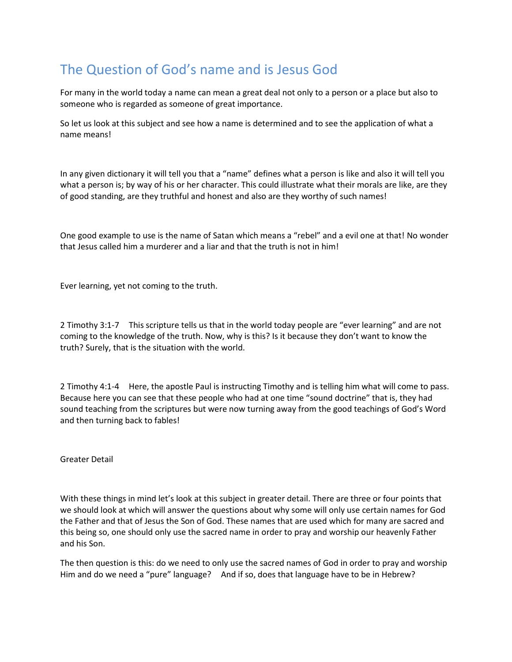## The Question of God's name and is Jesus God

For many in the world today a name can mean a great deal not only to a person or a place but also to someone who is regarded as someone of great importance.

So let us look at this subject and see how a name is determined and to see the application of what a name means!

In any given dictionary it will tell you that a "name" defines what a person is like and also it will tell you what a person is; by way of his or her character. This could illustrate what their morals are like, are they of good standing, are they truthful and honest and also are they worthy of such names!

One good example to use is the name of Satan which means a "rebel" and a evil one at that! No wonder that Jesus called him a murderer and a liar and that the truth is not in him!

Ever learning, yet not coming to the truth.

2 Timothy 3:1-7 This scripture tells us that in the world today people are "ever learning" and are not coming to the knowledge of the truth. Now, why is this? Is it because they don't want to know the truth? Surely, that is the situation with the world.

2 Timothy 4:1-4 Here, the apostle Paul is instructing Timothy and is telling him what will come to pass. Because here you can see that these people who had at one time "sound doctrine" that is, they had sound teaching from the scriptures but were now turning away from the good teachings of God's Word and then turning back to fables!

Greater Detail

With these things in mind let's look at this subject in greater detail. There are three or four points that we should look at which will answer the questions about why some will only use certain names for God the Father and that of Jesus the Son of God. These names that are used which for many are sacred and this being so, one should only use the sacred name in order to pray and worship our heavenly Father and his Son.

The then question is this: do we need to only use the sacred names of God in order to pray and worship Him and do we need a "pure" language? And if so, does that language have to be in Hebrew?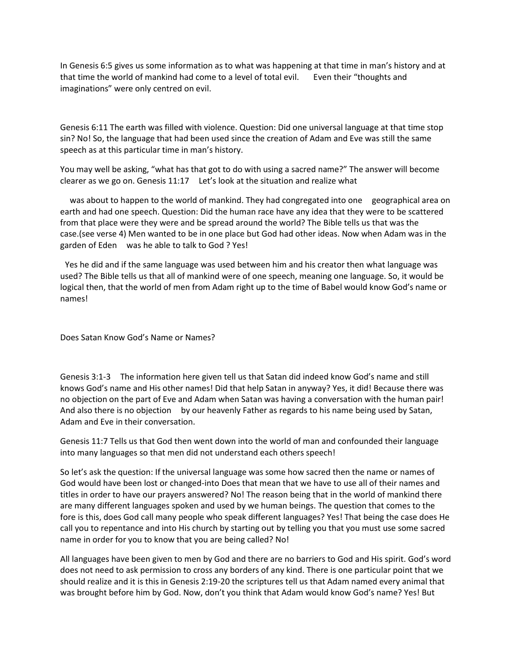In Genesis 6:5 gives us some information as to what was happening at that time in man's history and at that time the world of mankind had come to a level of total evil. Even their "thoughts and imaginations" were only centred on evil.

Genesis 6:11 The earth was filled with violence. Question: Did one universal language at that time stop sin? No! So, the language that had been used since the creation of Adam and Eve was still the same speech as at this particular time in man's history.

You may well be asking, "what has that got to do with using a sacred name?" The answer will become clearer as we go on. Genesis 11:17 Let's look at the situation and realize what

 was about to happen to the world of mankind. They had congregated into one geographical area on earth and had one speech. Question: Did the human race have any idea that they were to be scattered from that place were they were and be spread around the world? The Bible tells us that was the case.(see verse 4) Men wanted to be in one place but God had other ideas. Now when Adam was in the garden of Eden was he able to talk to God ? Yes!

Yes he did and if the same language was used between him and his creator then what language was used? The Bible tells us that all of mankind were of one speech, meaning one language. So, it would be logical then, that the world of men from Adam right up to the time of Babel would know God's name or names!

Does Satan Know God's Name or Names?

Genesis 3:1-3 The information here given tell us that Satan did indeed know God's name and still knows God's name and His other names! Did that help Satan in anyway? Yes, it did! Because there was no objection on the part of Eve and Adam when Satan was having a conversation with the human pair! And also there is no objection by our heavenly Father as regards to his name being used by Satan, Adam and Eve in their conversation.

Genesis 11:7 Tells us that God then went down into the world of man and confounded their language into many languages so that men did not understand each others speech!

So let's ask the question: If the universal language was some how sacred then the name or names of God would have been lost or changed-into Does that mean that we have to use all of their names and titles in order to have our prayers answered? No! The reason being that in the world of mankind there are many different languages spoken and used by we human beings. The question that comes to the fore is this, does God call many people who speak different languages? Yes! That being the case does He call you to repentance and into His church by starting out by telling you that you must use some sacred name in order for you to know that you are being called? No!

All languages have been given to men by God and there are no barriers to God and His spirit. God's word does not need to ask permission to cross any borders of any kind. There is one particular point that we should realize and it is this in Genesis 2:19-20 the scriptures tell us that Adam named every animal that was brought before him by God. Now, don't you think that Adam would know God's name? Yes! But